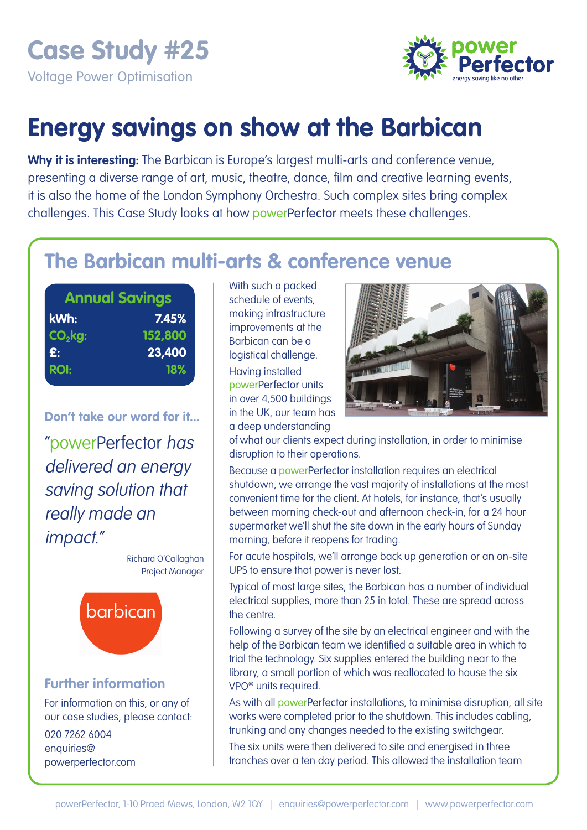**Case Study #25** 

Voltage Power Optimisation



# **Energy savings on show at the Barbican**

**Why it is interesting:** The Barbican is Europe's largest multi-arts and conference venue, presenting a diverse range of art, music, theatre, dance, film and creative learning events, it is also the home of the London Symphony Orchestra. Such complex sites bring complex challenges. This Case Study looks at how powerPerfector meets these challenges.

# **The Barbican multi-arts & conference venue**

| <b>Annual Savings</b> |         |  |  |  |
|-----------------------|---------|--|--|--|
| kWh:                  | 7.45%   |  |  |  |
| $CO2$ kg:             | 152,800 |  |  |  |
| £:                    | 23,400  |  |  |  |
| <b>ROI:</b>           | 18%     |  |  |  |
|                       |         |  |  |  |

**Don't take our word for it...** 

"powerPerfector has delivered an energy saving solution that really made an impact."

> Richard O'Callaghan Project Manager



## **Further information**

For information on this, or any of our case studies, please contact:

020 7262 6004 enquiries@ powerperfector.com With such a packed schedule of events, making infrastructure improvements at the Barbican can be a logistical challenge.

Having installed powerPerfector units in over 4,500 buildings in the UK, our team has a deep understanding



of what our clients expect during installation, in order to minimise disruption to their operations.

Because a powerPerfector installation requires an electrical shutdown, we arrange the vast majority of installations at the most convenient time for the client. At hotels, for instance, that's usually between morning check-out and afternoon check-in, for a 24 hour supermarket we'll shut the site down in the early hours of Sunday morning, before it reopens for trading.

For acute hospitals, we'll arrange back up generation or an on-site UPS to ensure that power is never lost.

Typical of most large sites, the Barbican has a number of individual electrical supplies, more than 25 in total. These are spread across the centre.

Following a survey of the site by an electrical engineer and with the help of the Barbican team we identified a suitable area in which to trial the technology. Six supplies entered the building near to the library, a small portion of which was reallocated to house the six VPO® units required.

As with all powerPerfector installations, to minimise disruption, all site works were completed prior to the shutdown. This includes cabling, trunking and any changes needed to the existing switchgear.

The six units were then delivered to site and energised in three tranches over a ten day period. This allowed the installation team